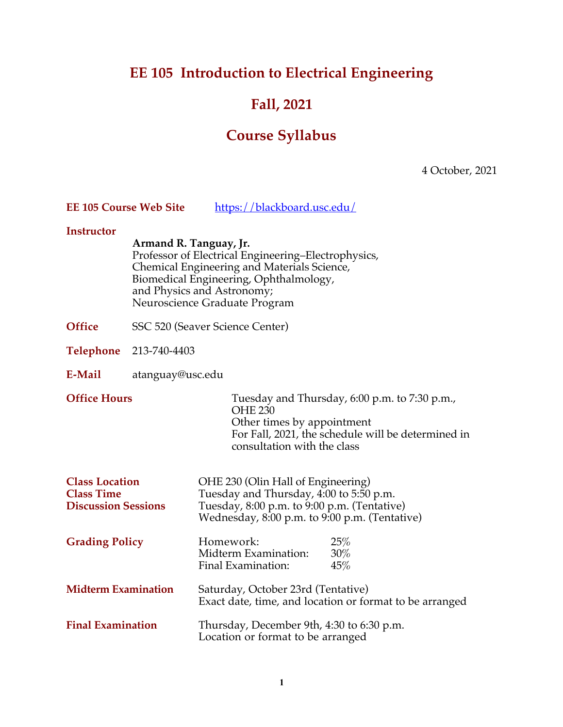# **EE 105 Introduction to Electrical Engineering**

# **Fall, 2021**

# **Course Syllabus**

4 October, 2021

| <b>EE 105 Course Web Site</b>                                            |                                 | https://blackboard.usc.edu/                                                                                                                                                                                 |
|--------------------------------------------------------------------------|---------------------------------|-------------------------------------------------------------------------------------------------------------------------------------------------------------------------------------------------------------|
| <b>Instructor</b>                                                        | Armand R. Tanguay, Jr.          | Professor of Electrical Engineering-Electrophysics,<br>Chemical Engineering and Materials Science,<br>Biomedical Engineering, Ophthalmology,<br>and Physics and Astronomy;<br>Neuroscience Graduate Program |
| <b>Office</b>                                                            | SSC 520 (Seaver Science Center) |                                                                                                                                                                                                             |
| <b>Telephone</b>                                                         | 213-740-4403                    |                                                                                                                                                                                                             |
| E-Mail                                                                   | atanguay@usc.edu                |                                                                                                                                                                                                             |
| <b>Office Hours</b>                                                      |                                 | Tuesday and Thursday, 6:00 p.m. to 7:30 p.m.,<br><b>OHE 230</b><br>Other times by appointment<br>For Fall, 2021, the schedule will be determined in<br>consultation with the class                          |
| <b>Class Location</b><br><b>Class Time</b><br><b>Discussion Sessions</b> |                                 | OHE 230 (Olin Hall of Engineering)<br>Tuesday and Thursday, 4:00 to 5:50 p.m.<br>Tuesday, 8:00 p.m. to 9:00 p.m. (Tentative)<br>Wednesday, 8:00 p.m. to 9:00 p.m. (Tentative)                               |
| <b>Grading Policy</b>                                                    |                                 | 25%<br>Homework:<br>Midterm Examination:<br>30%<br>Final Examination:<br>45%                                                                                                                                |
| <b>Midterm Examination</b>                                               |                                 | Saturday, October 23rd (Tentative)<br>Exact date, time, and location or format to be arranged                                                                                                               |
| <b>Final Examination</b>                                                 |                                 | Thursday, December 9th, 4:30 to 6:30 p.m.<br>Location or format to be arranged                                                                                                                              |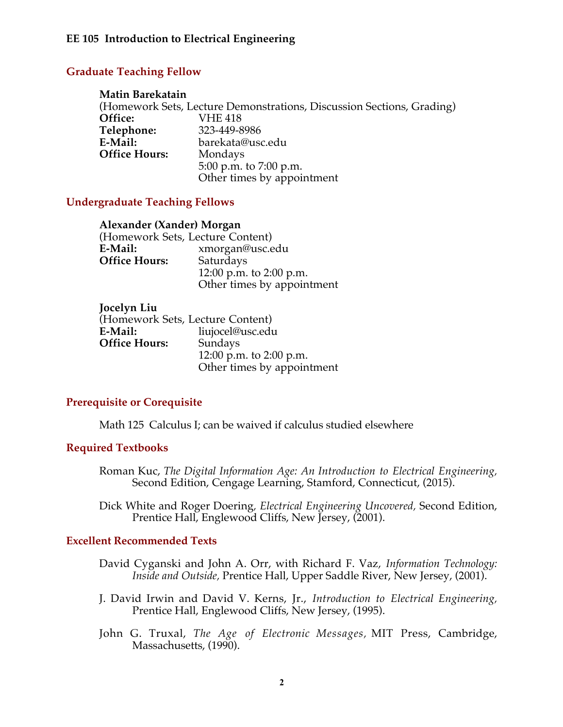# **Graduate Teaching Fellow**

#### **Matin Barekatain**

(Homework Sets, Lecture Demonstrations, Discussion Sections, Grading)<br> **Office:** VHE 418 **Office:** VHE 418 Telephone:<br>E-Mail: **E-Mail:** barekata@usc.edu **Office Hours:** 5:00 p.m. to 7:00 p.m. Other times by appointment

### **Undergraduate Teaching Fellows**

| Alexander (Xander) Morgan        |
|----------------------------------|
| (Homework Sets, Lecture Content) |
| xmorgan@usc.edu                  |
| Saturdays                        |
| 12:00 p.m. to 2:00 p.m.          |
| Other times by appointment       |
|                                  |

| Jocelyn Liu          |                                  |
|----------------------|----------------------------------|
|                      | (Homework Sets, Lecture Content) |
| E-Mail:              | liujocel@usc.edu                 |
| <b>Office Hours:</b> | Sundays                          |
|                      | 12:00 p.m. to 2:00 p.m.          |
|                      | Other times by appointment       |

# **Prerequisite or Corequisite**

Math 125 Calculus I; can be waived if calculus studied elsewhere

### **Required Textbooks**

Roman Kuc, *The Digital Information Age: An Introduction to Electrical Engineering,* Second Edition, Cengage Learning, Stamford, Connecticut, (2015).

Dick White and Roger Doering*, Electrical Engineering Uncovered,* Second Edition, Prentice Hall, Englewood Cliffs, New Jersey, (2001).

### **Excellent Recommended Texts**

- David Cyganski and John A. Orr, with Richard F. Vaz, *Information Technology: Inside and Outside, Prentice Hall, Upper Saddle River, New Jersey, (2001).*
- J. David Irwin and David V. Kerns, Jr., *Introduction to Electrical Engineering,* Prentice Hall, Englewood Cliffs, New Jersey, (1995).
- John G. Truxal, *The Age of Electronic Messages,* MIT Press, Cambridge, Massachusetts, (1990).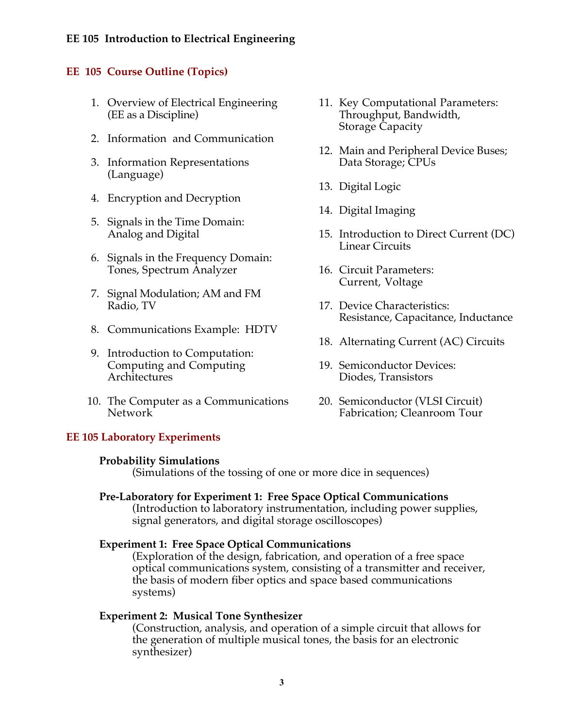# **EE 105 Introduction to Electrical Engineering**

## **EE 105 Course Outline (Topics)**

- 1. Overview of Electrical Engineering (EE as a Discipline)
- 2. Information and Communication
- 3. Information Representations (Language)
- 4. Encryption and Decryption
- 5. Signals in the Time Domain: Analog and Digital
- 6. Signals in the Frequency Domain: Tones, Spectrum Analyzer
- 7. Signal Modulation; AM and FM Radio, TV
- 8. Communications Example: HDTV
- 9. Introduction to Computation: Computing and Computing Architectures
- 10. The Computer as a Communications Network

#### **EE 105 Laboratory Experiments**

#### **Probability Simulations**

(Simulations of the tossing of one or more dice in sequences)

#### **Pre-Laboratory for Experiment 1: Free Space Optical Communications**

(Introduction to laboratory instrumentation, including power supplies, signal generators, and digital storage oscilloscopes)

#### **Experiment 1: Free Space Optical Communications**

(Exploration of the design, fabrication, and operation of a free space optical communications system, consisting of a transmitter and receiver, the basis of modern fiber optics and space based communications systems)

#### **Experiment 2: Musical Tone Synthesizer**

(Construction, analysis, and operation of a simple circuit that allows for the generation of multiple musical tones, the basis for an electronic synthesizer)

- 11. Key Computational Parameters: Throughput, Bandwidth, Storage Capacity
- 12. Main and Peripheral Device Buses; Data Storage; CPUs
- 13. Digital Logic
- 14. Digital Imaging
- 15. Introduction to Direct Current (DC) Linear Circuits
- 16. Circuit Parameters: Current, Voltage
- 17. Device Characteristics: Resistance, Capacitance, Inductance
- 18. Alternating Current (AC) Circuits
- 19. Semiconductor Devices: Diodes, Transistors
- 20. Semiconductor (VLSI Circuit) Fabrication; Cleanroom Tour